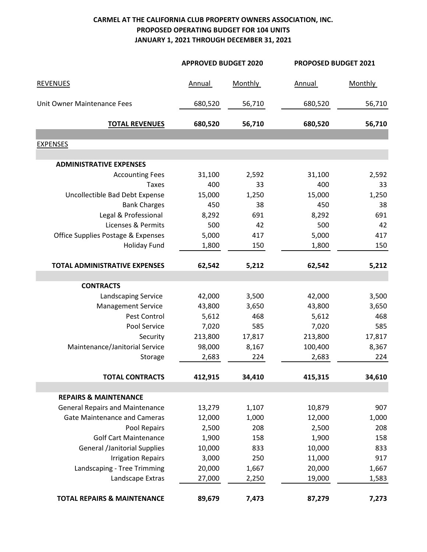## **CARMEL AT THE CALIFORNIA CLUB PROPERTY OWNERS ASSOCIATION, INC. PROPOSED OPERATING BUDGET FOR 104 UNITS JANUARY 1, 2021 THROUGH DECEMBER 31, 2021**

|                                        | <b>APPROVED BUDGET 2020</b> |                | PROPOSED BUDGET 2021 |         |  |
|----------------------------------------|-----------------------------|----------------|----------------------|---------|--|
| <b>REVENUES</b>                        | Annual                      | <b>Monthly</b> | Annual               | Monthly |  |
| Unit Owner Maintenance Fees            | 680,520                     | 56,710         | 680,520              | 56,710  |  |
| <b>TOTAL REVENUES</b>                  | 680,520                     | 56,710         | 680,520              | 56,710  |  |
|                                        |                             |                |                      |         |  |
| <b>EXPENSES</b>                        |                             |                |                      |         |  |
| <b>ADMINISTRATIVE EXPENSES</b>         |                             |                |                      |         |  |
| <b>Accounting Fees</b>                 | 31,100                      | 2,592          | 31,100               | 2,592   |  |
| <b>Taxes</b>                           | 400                         | 33             | 400                  | 33      |  |
| Uncollectible Bad Debt Expense         | 15,000                      | 1,250          | 15,000               | 1,250   |  |
| <b>Bank Charges</b>                    | 450                         | 38             | 450                  | 38      |  |
| Legal & Professional                   | 8,292                       | 691            | 8,292                | 691     |  |
| Licenses & Permits                     | 500                         | 42             | 500                  | 42      |  |
| Office Supplies Postage & Expenses     | 5,000                       | 417            | 5,000                | 417     |  |
| <b>Holiday Fund</b>                    | 1,800                       | 150            | 1,800                | 150     |  |
| <b>TOTAL ADMINISTRATIVE EXPENSES</b>   | 62,542                      | 5,212          | 62,542               | 5,212   |  |
| <b>CONTRACTS</b>                       |                             |                |                      |         |  |
| <b>Landscaping Service</b>             | 42,000                      | 3,500          | 42,000               | 3,500   |  |
| <b>Management Service</b>              | 43,800                      | 3,650          | 43,800               | 3,650   |  |
| Pest Control                           | 5,612                       | 468            | 5,612                | 468     |  |
| Pool Service                           | 7,020                       | 585            | 7,020                | 585     |  |
| Security                               | 213,800                     | 17,817         | 213,800              | 17,817  |  |
| Maintenance/Janitorial Service         | 98,000                      | 8,167          | 100,400              | 8,367   |  |
| Storage                                | 2,683                       | 224            | 2,683                | 224     |  |
| <b>TOTAL CONTRACTS</b>                 | 412,915                     | 34,410         | 415,315              | 34,610  |  |
| <b>REPAIRS &amp; MAINTENANCE</b>       |                             |                |                      |         |  |
| <b>General Repairs and Maintenance</b> | 13,279                      | 1,107          | 10,879               | 907     |  |
| <b>Gate Maintenance and Cameras</b>    | 12,000                      | 1,000          | 12,000               | 1,000   |  |
| Pool Repairs                           | 2,500                       | 208            | 2,500                | 208     |  |
| <b>Golf Cart Maintenance</b>           | 1,900                       | 158            | 1,900                | 158     |  |
| <b>General /Janitorial Supplies</b>    | 10,000                      | 833            | 10,000               | 833     |  |
| <b>Irrigation Repairs</b>              | 3,000                       | 250            | 11,000               | 917     |  |
| Landscaping - Tree Trimming            | 20,000                      | 1,667          | 20,000               | 1,667   |  |
| Landscape Extras                       | 27,000                      | 2,250          | 19,000               | 1,583   |  |
| <b>TOTAL REPAIRS &amp; MAINTENANCE</b> | 89,679                      | 7,473          | 87,279               | 7,273   |  |